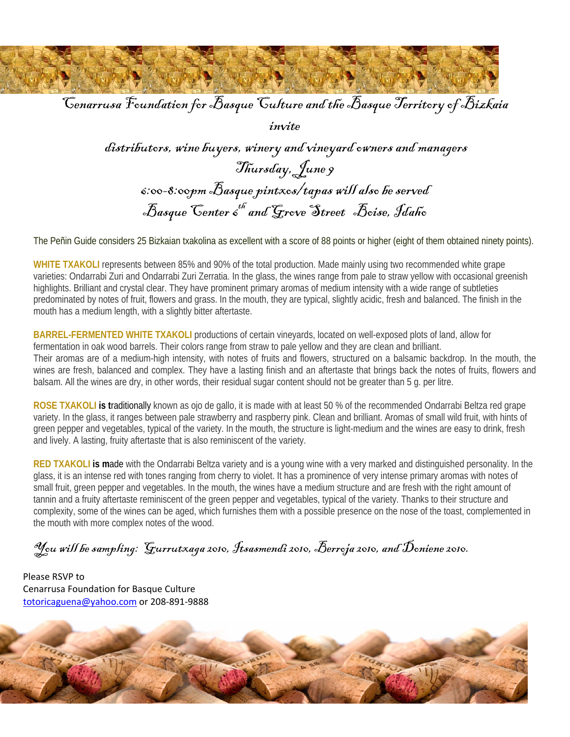

Cenarrusa Foundation for Basque Culture and the Basque Territory of Bizkaia

invite

 distributors, wine buyers, winery and vineyard owners and managers Thursday, June 9 6:00-8:00pm Basque pintxos/tapas will also be served Basque Center  $\zeta^{th}$  and Grove Street Boise, Idaho

The Peñin Guide considers 25 Bizkaian txakolina as excellent with a score of 88 points or higher (eight of them obtained ninety points).

**WHITE TXAKOLI** represents between 85% and 90% of the total production. Made mainly using two recommended white grape varieties: Ondarrabi Zuri and Ondarrabi Zuri Zerratia. In the glass, the wines range from pale to straw yellow with occasional greenish highlights. Brilliant and crystal clear. They have prominent primary aromas of medium intensity with a wide range of subtleties predominated by notes of fruit, flowers and grass. In the mouth, they are typical, slightly acidic, fresh and balanced. The finish in the mouth has a medium length, with a slightly bitter aftertaste.

**BARREL-FERMENTED WHITE TXAKOLI** productions of certain vineyards, located on well-exposed plots of land, allow for fermentation in oak wood barrels. Their colors range from straw to pale yellow and they are clean and brilliant. Their aromas are of a medium-high intensity, with notes of fruits and flowers, structured on a balsamic backdrop. In the mouth, the wines are fresh, balanced and complex. They have a lasting finish and an aftertaste that brings back the notes of fruits, flowers and balsam. All the wines are dry, in other words, their residual sugar content should not be greater than 5 g. per litre.

**ROSE TXAKOLI is t**raditionally known as ojo de gallo, it is made with at least 50 % of the recommended Ondarrabi Beltza red grape variety. In the glass, it ranges between pale strawberry and raspberry pink. Clean and brilliant. Aromas of small wild fruit, with hints of green pepper and vegetables, typical of the variety. In the mouth, the structure is light-medium and the wines are easy to drink, fresh and lively. A lasting, fruity aftertaste that is also reminiscent of the variety.

**RED TXAKOLI is m**ade with the Ondarrabi Beltza variety and is a young wine with a very marked and distinguished personality. In the glass, it is an intense red with tones ranging from cherry to violet. It has a prominence of very intense primary aromas with notes of small fruit, green pepper and vegetables. In the mouth, the wines have a medium structure and are fresh with the right amount of tannin and a fruity aftertaste reminiscent of the green pepper and vegetables, typical of the variety. Thanks to their structure and complexity, some of the wines can be aged, which furnishes them with a possible presence on the nose of the toast, complemented in the mouth with more complex notes of the wood.

You will be sampling:  $\mathcal G$ urrutxaga 2010, Itsasmendi 2010, Berroja 2010, and Doniene 2010.

 Please RSVP to Cenarrusa Foundation for Basque Culture totoricaguena@yahoo.com or 208‐891‐9888